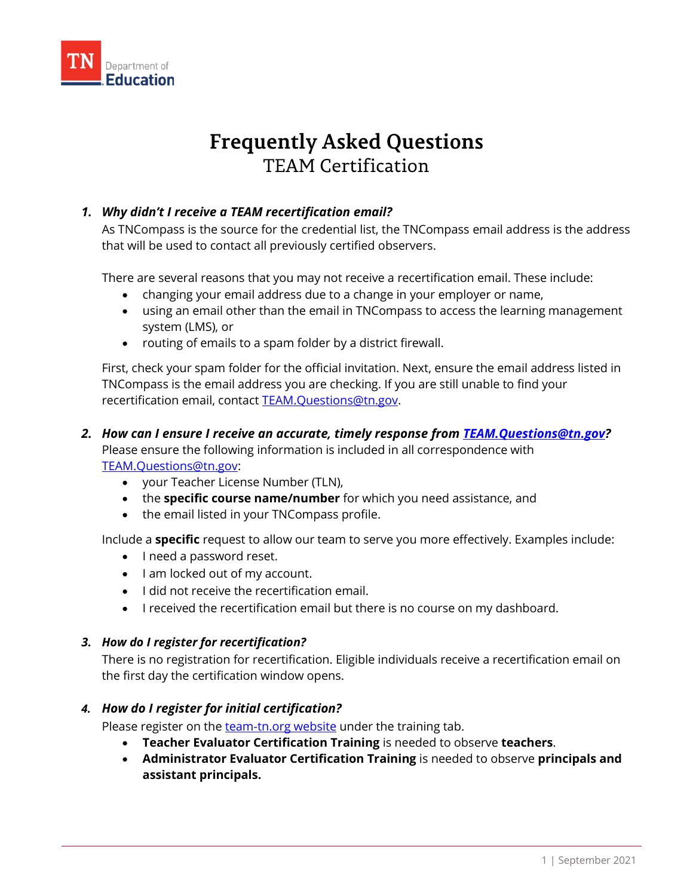

# **Frequently Asked Questions TEAM Certification**

# *1. Why didn't I receive a TEAM recertification email?*

As TNCompass is the source for the credential list, the TNCompass email address is the address that will be used to contact all previously certified observers.

There are several reasons that you may not receive a recertification email. These include:

- changing your email address due to a change in your employer or name,
- using an email other than the email in TNCompass to access the learning management system (LMS), or
- routing of emails to a spam folder by a district firewall.

First, check your spam folder for the official invitation. Next, ensure the email address listed in TNCompass is the email address you are checking. If you are still unable to find your recertification email, contact [TEAM.Questions@tn.gov.](mailto:TEAM.Questions@tn.gov)

## *2. How can I ensure I receive an accurate, timely response from [TEAM.Questions@tn.gov?](mailto:TEAM.Questions@tn.gov)* Please ensure the following information is included in all correspondence with [TEAM.Questions@tn.gov:](mailto:TEAM.Questions@tn.gov)

- your Teacher License Number (TLN),
- the **specific course name/number** for which you need assistance, and
- the email listed in your TNCompass profile.

Include a **specific** request to allow our team to serve you more effectively. Examples include:

- I need a password reset.
- I am locked out of my account.
- I did not receive the recertification email.
- I received the recertification email but there is no course on my dashboard.

### *3. How do I register for recertification?*

There is no registration for recertification. Eligible individuals receive a recertification email on the first day the certification window opens.

### *4. How do I register for initial certification?*

Please register on the [team-tn.org website](https://team-tn.org/schedule/) under the training tab.

- **Teacher Evaluator Certification Training** is needed to observe **teachers**.
- **Administrator Evaluator Certification Training** is needed to observe **principals and assistant principals.**